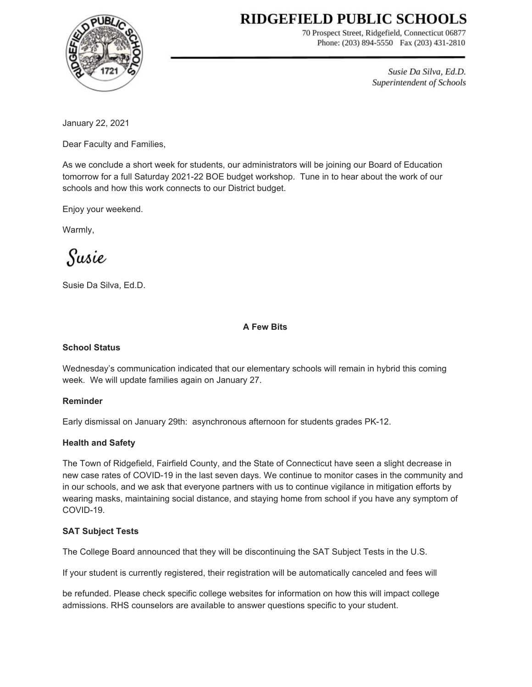# RIDGEFIELD PUBLIC SCHOOLS



70 Prospect Street, Ridgefield, Connecticut 06877 Phone: (203) 894-5550 Fax (203) 431-2810

> Susie Da Silva, Ed.D. Superintendent of Schools

January 22, 2021

Dear Faculty and Families,

As we conclude a short week for students, our administrators will be joining our Board of Education tomorrow for a full Saturday 2021-22 BOE budget workshop. Tune in to hear about the work of our schools and how this work connects to our District budget.

Enjoy your weekend.

Warmly,

Susie

Susie Da Silva, Ed.D.

## **A Few Bits**

# **School Status**

Wednesday's communication indicated that our elementary schools will remain in hybrid this coming week. We will update families again on January 27.

## **Reminder**

Early dismissal on January 29th: asynchronous afternoon for students grades PK-12.

## **Health and Safety**

The Town of Ridgefield, Fairfield County, and the State of Connecticut have seen a slight decrease in new case rates of COVID-19 in the last seven days. We continue to monitor cases in the community and in our schools, and we ask that everyone partners with us to continue vigilance in mitigation efforts by wearing masks, maintaining social distance, and staying home from school if you have any symptom of COVID-19.

## **SAT Subject Tests**

The College Board announced that they will be discontinuing the SAT Subject Tests in the U.S.

If your student is currently registered, their registration will be automatically canceled and fees will

be refunded. Please check specific college websites for information on how this will impact college admissions. RHS counselors are available to answer questions specific to your student.